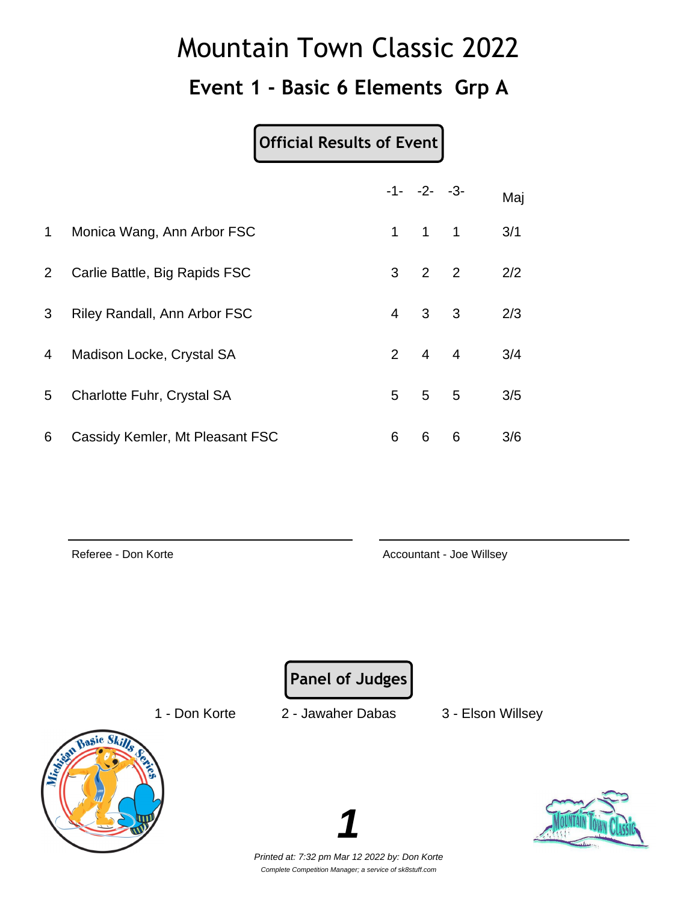### **Event 1 - Basic 6 Elements Grp A**

#### **Official Results of Event**

|                |                                     |                | $-1 - -2 - -3$      |   | Maj |
|----------------|-------------------------------------|----------------|---------------------|---|-----|
| $\mathbf 1$    | Monica Wang, Ann Arbor FSC          |                | $1 \quad 1 \quad 1$ |   | 3/1 |
| $\overline{2}$ | Carlie Battle, Big Rapids FSC       |                | $3 \quad 2 \quad 2$ |   | 2/2 |
| 3              | <b>Riley Randall, Ann Arbor FSC</b> | $\overline{4}$ | $3 \quad 3$         |   | 2/3 |
| 4              | Madison Locke, Crystal SA           |                | $2 \quad 4 \quad 4$ |   | 3/4 |
| 5              | Charlotte Fuhr, Crystal SA          |                | $5\quad 5\quad 5$   |   | 3/5 |
| 6              | Cassidy Kemler, Mt Pleasant FSC     | 6              | 6                   | 6 | 3/6 |

Referee - Don Korte **Accountant - Joe Willsey** Accountant - Joe Willsey

**Panel of Judges**

1 - Don Korte 2 - Jawaher Dabas 3 - Elson Willsey





Printed at: 7:32 pm Mar 12 2022 by: Don Korte Complete Competition Manager; a service of sk8stuff.com

**1**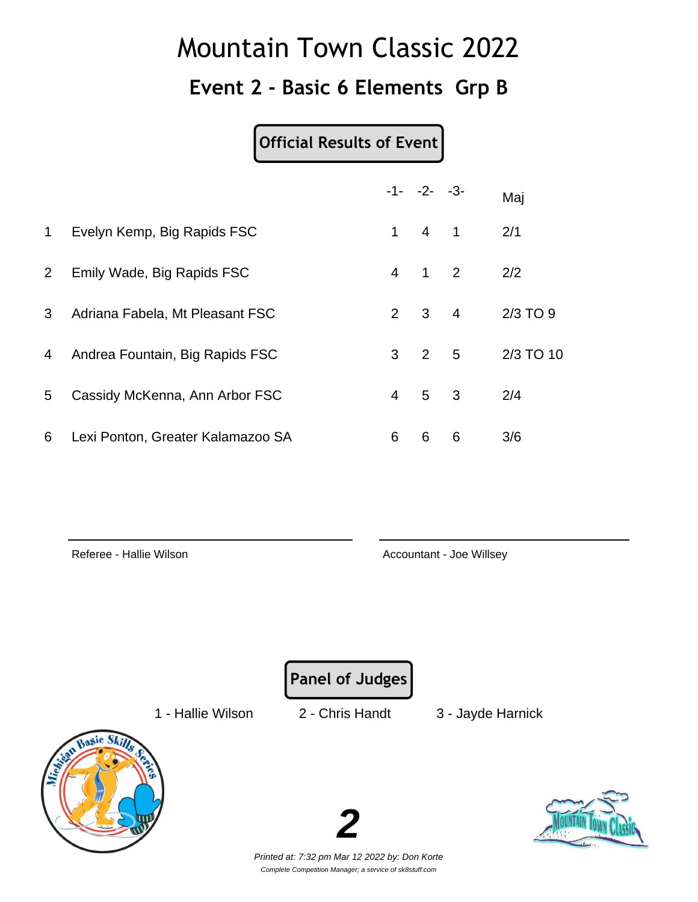### **Event 2 - Basic 6 Elements Grp B**

#### **Official Results of Event**

|              |                                   |                | $-1 - -2 - -3$      |                            | Maj       |
|--------------|-----------------------------------|----------------|---------------------|----------------------------|-----------|
| 1            | Evelyn Kemp, Big Rapids FSC       | $\mathbf{1}$   | $4 \quad 1$         |                            | 2/1       |
| $\mathbf{2}$ | Emily Wade, Big Rapids FSC        | $\overline{4}$ | $\overline{1}$      | $\overline{\phantom{0}}^2$ | 2/2       |
| 3            | Adriana Fabela, Mt Pleasant FSC   |                | $2 \quad 3 \quad 4$ |                            | 2/3 TO 9  |
| 4            | Andrea Fountain, Big Rapids FSC   | 3              | 2 <sub>5</sub>      |                            | 2/3 TO 10 |
| 5            | Cassidy McKenna, Ann Arbor FSC    | $\overline{4}$ | 5 3                 |                            | 2/4       |
| 6            | Lexi Ponton, Greater Kalamazoo SA | 6              | 6                   | 6                          | 3/6       |

Referee - Hallie Wilson **Accountant - Joe Willsey** Accountant - Joe Willsey

**Panel of Judges**

1 - Hallie Wilson 2 - Chris Handt 3 - Jayde Harnick



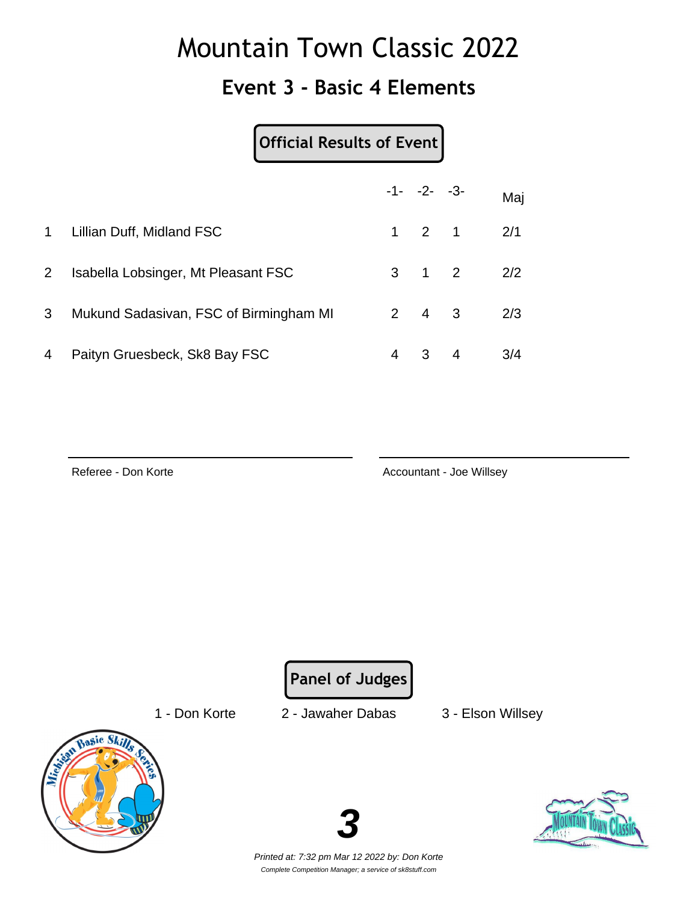### **Event 3 - Basic 4 Elements**

### **Official Results of Event**

|                |                                        |   | $-1 - -2 - -3$      |                | Maj |
|----------------|----------------------------------------|---|---------------------|----------------|-----|
| $\mathbf{1}$   | Lillian Duff, Midland FSC              |   | $1 \quad 2 \quad 1$ |                | 2/1 |
| $2^{\circ}$    | Isabella Lobsinger, Mt Pleasant FSC    |   | $3 \quad 1 \quad 2$ |                | 2/2 |
| 3 <sup>1</sup> | Mukund Sadasivan, FSC of Birmingham MI |   | $2 \quad 4 \quad 3$ |                | 2/3 |
| 4              | Paityn Gruesbeck, Sk8 Bay FSC          | 4 | 3                   | $\overline{4}$ | 3/4 |

Referee - Don Korte **Accountant - Joe Willsey** Accountant - Joe Willsey

**Panel of Judges**

1 - Don Korte 2 - Jawaher Dabas 3 - Elson Willsey



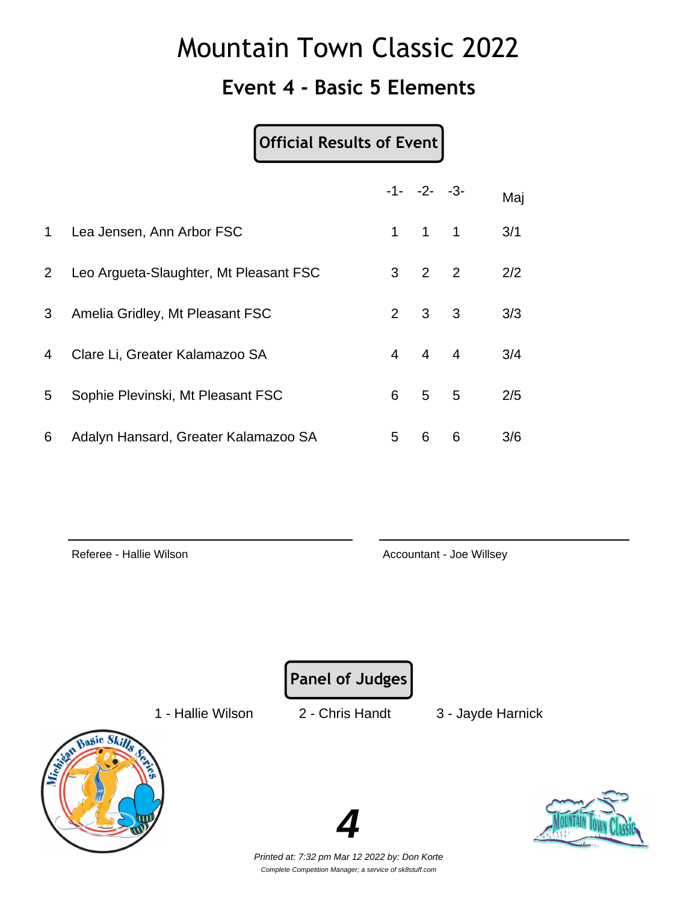#### **Event 4 - Basic 5 Elements**

#### **Official Results of Event**

|                |                                        |                | $-1 - -2 - -3$      |   | Maj |
|----------------|----------------------------------------|----------------|---------------------|---|-----|
| $\mathbf 1$    | Lea Jensen, Ann Arbor FSC              |                | $1 \quad 1 \quad 1$ |   | 3/1 |
| $\overline{2}$ | Leo Argueta-Slaughter, Mt Pleasant FSC | $3^{\circ}$    | $2 \quad 2$         |   | 2/2 |
| 3              | Amelia Gridley, Mt Pleasant FSC        |                | $2 \quad 3 \quad 3$ |   | 3/3 |
| 4              | Clare Li, Greater Kalamazoo SA         | $\overline{4}$ | $4\quad 4$          |   | 3/4 |
| 5              | Sophie Plevinski, Mt Pleasant FSC      | 6              | 5 <sub>5</sub>      |   | 2/5 |
| 6              | Adalyn Hansard, Greater Kalamazoo SA   | 5              | 6                   | 6 | 3/6 |

Referee - Hallie Wilson **Accountant - Joe Willsey** Accountant - Joe Willsey

**Panel of Judges**

1 - Hallie Wilson 2 - Chris Handt 3 - Jayde Harnick





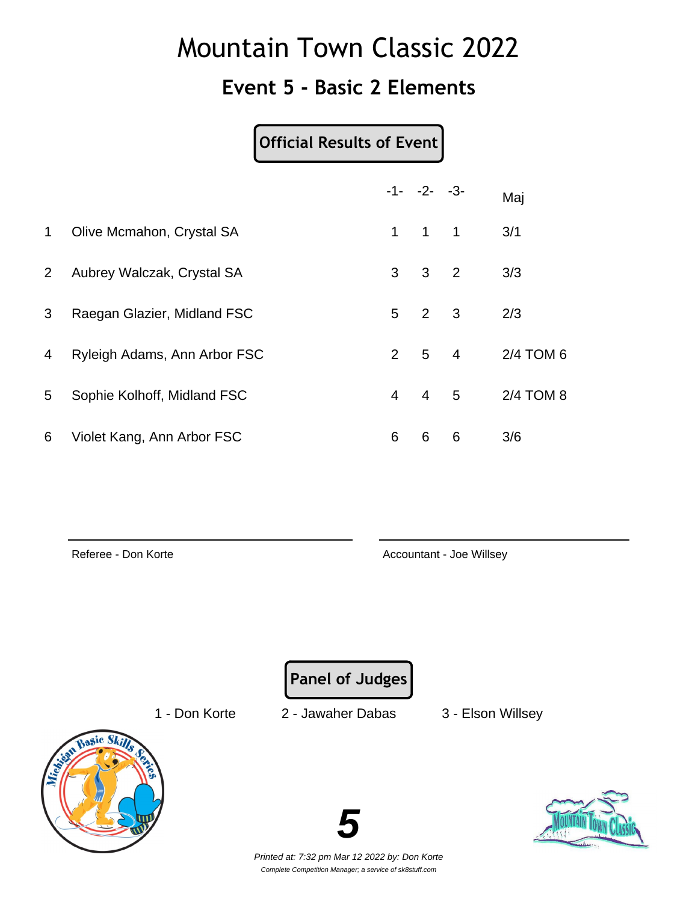### **Event 5 - Basic 2 Elements**

|                | <b>Official Results of Event</b> |                |                 |                            |           |
|----------------|----------------------------------|----------------|-----------------|----------------------------|-----------|
|                |                                  |                | $-1 - -2 - -3$  |                            | Maj       |
| $\mathbf 1$    | Olive Mcmahon, Crystal SA        | $\mathbf 1$    | $\overline{1}$  | $\overline{\phantom{0}}$ 1 | 3/1       |
| $\overline{2}$ | Aubrey Walczak, Crystal SA       | 3              | $\mathbf{3}$    | $\overline{\mathbf{c}}$    | 3/3       |
| 3              | Raegan Glazier, Midland FSC      | 5              | $\overline{2}$  | $\overline{\mathbf{3}}$    | 2/3       |
| 4              | Ryleigh Adams, Ann Arbor FSC     | $\overline{2}$ | $5\overline{)}$ | $\overline{4}$             | 2/4 TOM 6 |
| 5              | Sophie Kolhoff, Midland FSC      | 4              | $\overline{4}$  | $-5$                       | 2/4 TOM 8 |
| 6              | Violet Kang, Ann Arbor FSC       | 6              | 6               | 6                          | 3/6       |

Referee - Don Korte **Accountant - Joe Willsey** Accountant - Joe Willsey

**Panel of Judges**

1 - Don Korte 2 - Jawaher Dabas 3 - Elson Willsey



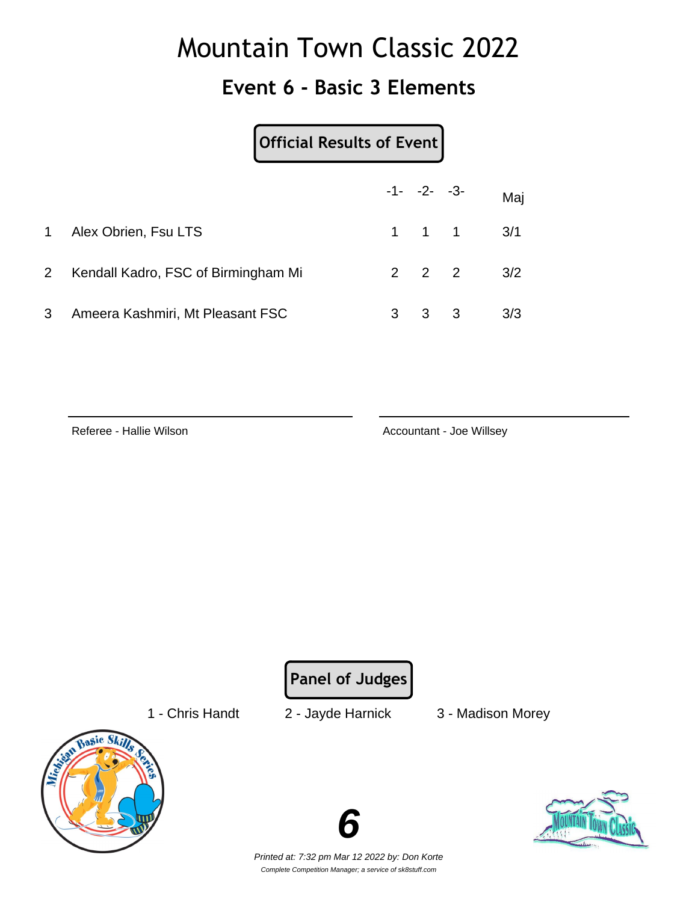### **Event 6 - Basic 3 Elements**

|              |                                     | Official Results of Event |   |                     |     |     |
|--------------|-------------------------------------|---------------------------|---|---------------------|-----|-----|
|              |                                     |                           |   | $-1 - -2 - -3$      |     | Maj |
| $\mathbf{1}$ | Alex Obrien, Fsu LTS                |                           |   | $1 \quad 1 \quad 1$ |     | 3/1 |
| $2^{\circ}$  | Kendall Kadro, FSC of Birmingham Mi |                           |   | $2 \quad 2 \quad 2$ |     | 3/2 |
| 3            | Ameera Kashmiri, Mt Pleasant FSC    |                           | 3 | 3                   | - 3 | 3/3 |

Referee - Hallie Wilson **Accountant - Joe Willsey** Accountant - Joe Willsey

**Panel of Judges**

1 - Chris Handt 2 - Jayde Harnick 3 - Madison Morey



**6**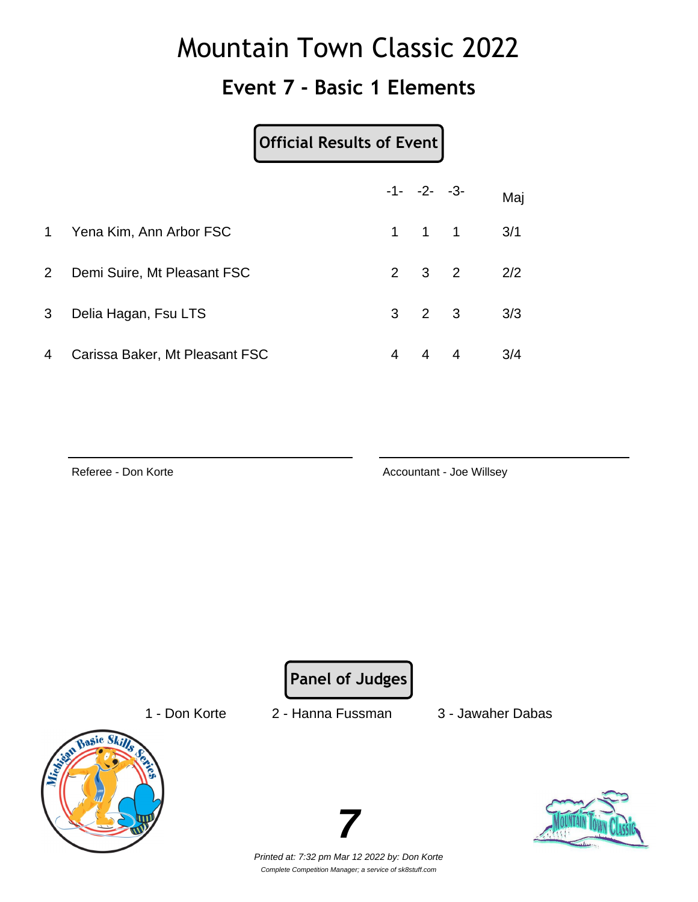### **Event 7 - Basic 1 Elements**

|                | Official Results of Event      |              |                     |                |     |
|----------------|--------------------------------|--------------|---------------------|----------------|-----|
|                |                                |              | $-1 - -2 - -3$      |                | Maj |
| $\mathbf{1}$   | Yena Kim, Ann Arbor FSC        | $\mathbf{1}$ | $1 \quad 1$         |                | 3/1 |
| $\overline{2}$ | Demi Suire, Mt Pleasant FSC    |              | $2 \quad 3 \quad 2$ |                | 2/2 |
| 3              | Delia Hagan, Fsu LTS           |              | $3 \quad 2 \quad 3$ |                | 3/3 |
| 4              | Carissa Baker, Mt Pleasant FSC | 4            | 4                   | $\overline{4}$ | 3/4 |

Referee - Don Korte **Accountant - Joe Willsey** Accountant - Joe Willsey

**Panel of Judges**

1 - Don Korte 2 - Hanna Fussman 3 - Jawaher Dabas



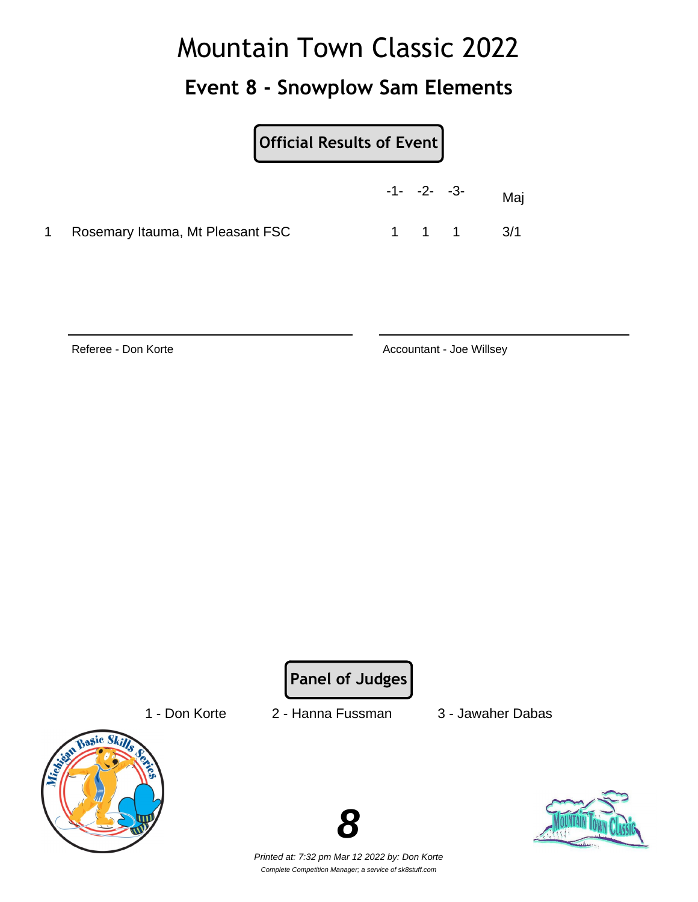### **Event 8 - Snowplow Sam Elements**

| <b>Official Results of Event</b> |
|----------------------------------|
|----------------------------------|

|                                    | $-1 - -2 - -3$ |  | Mai       |
|------------------------------------|----------------|--|-----------|
| 1 Rosemary Itauma, Mt Pleasant FSC |                |  | 1 1 1 3/1 |

Referee - Don Korte **Accountant - Joe Willsey** Accountant - Joe Willsey

**Panel of Judges**

1 - Don Korte 2 - Hanna Fussman 3 - Jawaher Dabas





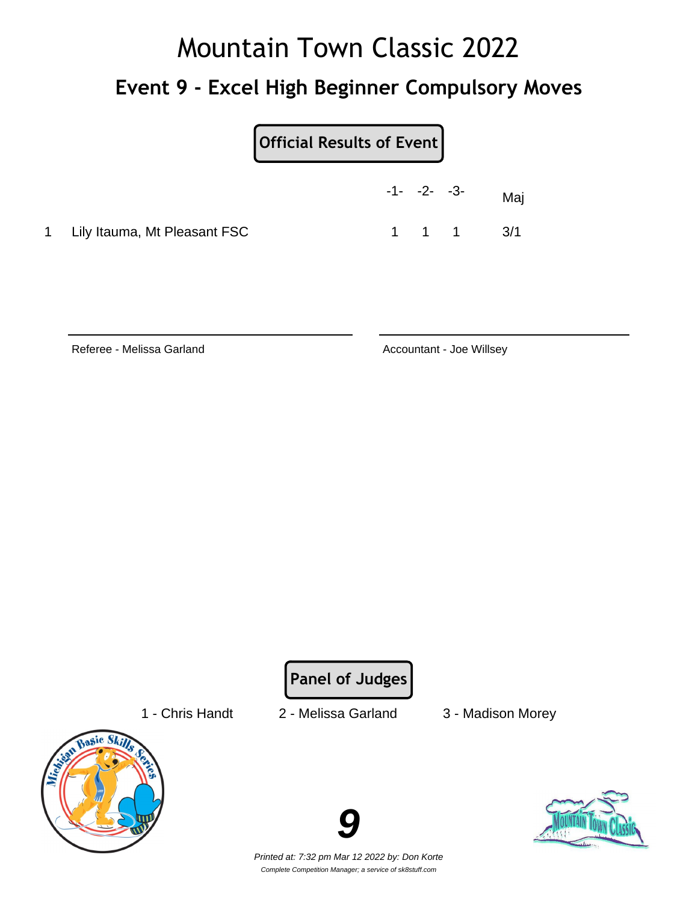# Mountain Town Classic 2022 **Event 9 - Excel High Beginner Compulsory Moves**

|                                | $-1 - -2 - -3$ |       | Maj |
|--------------------------------|----------------|-------|-----|
| 1 Lily Itauma, Mt Pleasant FSC |                | 1 1 1 | 3/1 |

Referee - Melissa Garland **Accountant - Joe Willsey** 

**Panel of Judges**

- 
- 1 Chris Handt 2 Melissa Garland 3 Madison Morey
	-





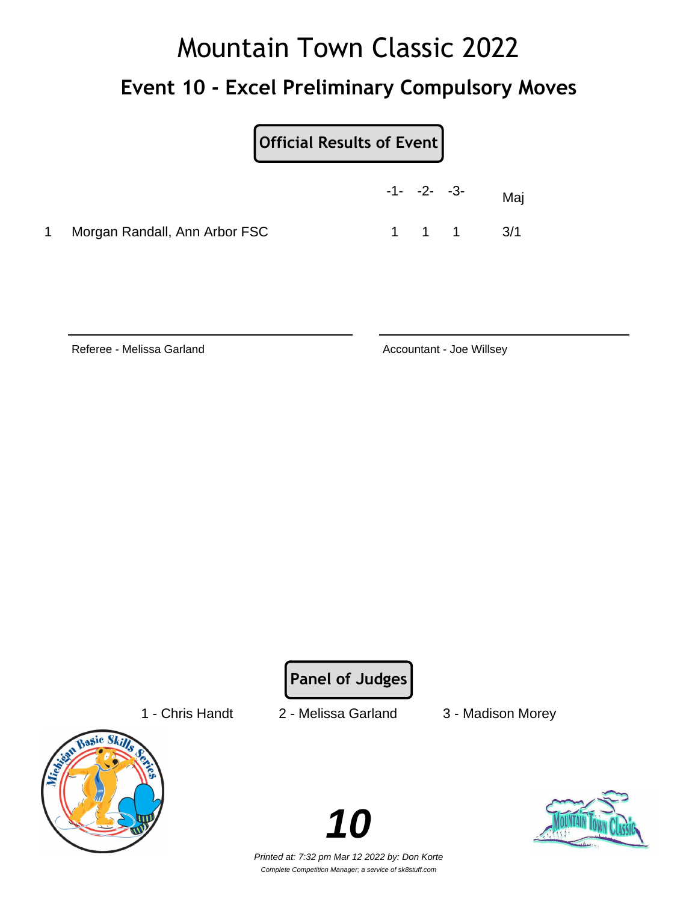# Mountain Town Classic 2022 **Event 10 - Excel Preliminary Compulsory Moves**

| <b>Official Results of Event</b> |
|----------------------------------|
|----------------------------------|

|                                 | $-1 - -2 - -3$ |       | Maj |
|---------------------------------|----------------|-------|-----|
| 1 Morgan Randall, Ann Arbor FSC |                | 1 1 1 | 3/1 |

Referee - Melissa Garland **Accountant - Joe Willsey** 

**Panel of Judges**

- 
- 
- 1 Chris Handt 2 Melissa Garland 3 Madison Morey



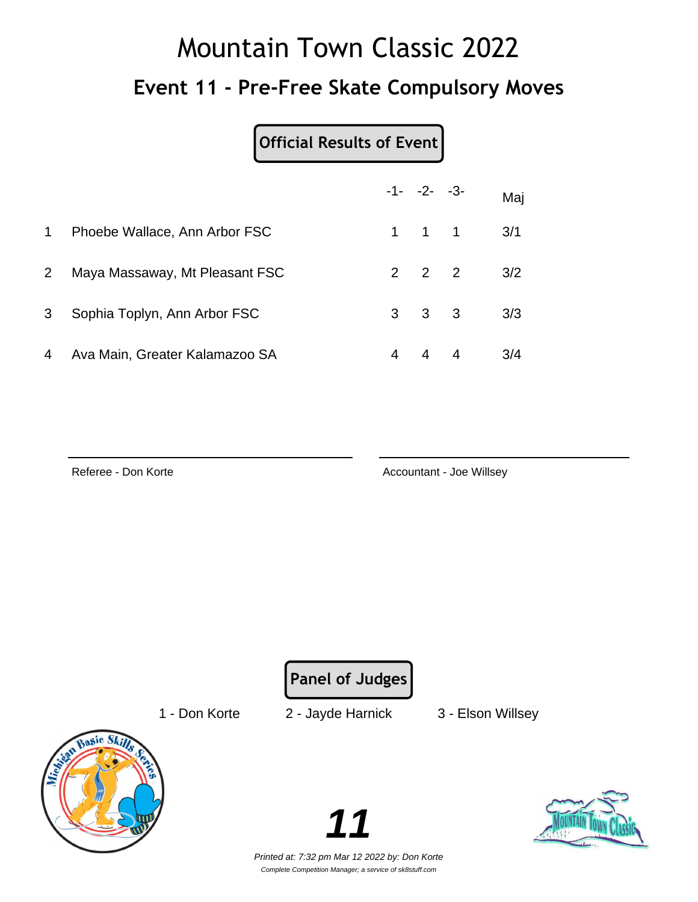# Mountain Town Classic 2022 **Event 11 - Pre-Free Skate Compulsory Moves**

#### **Official Results of Event**

|             |                                |   | $-1 - -2 - -3$      |                | Maj |
|-------------|--------------------------------|---|---------------------|----------------|-----|
| $\mathbf 1$ | Phoebe Wallace, Ann Arbor FSC  |   | $1 \quad 1 \quad 1$ |                | 3/1 |
| $2^{\circ}$ | Maya Massaway, Mt Pleasant FSC |   | $2 \quad 2 \quad 2$ |                | 3/2 |
| 3           | Sophia Toplyn, Ann Arbor FSC   |   | $3 \quad 3 \quad 3$ |                | 3/3 |
| 4           | Ava Main, Greater Kalamazoo SA | 4 |                     | $\overline{4}$ | 3/4 |

Referee - Don Korte **Accountant - Joe Willsey** 

**Panel of Judges**

1 - Don Korte 2 - Jayde Harnick 3 - Elson Willsey



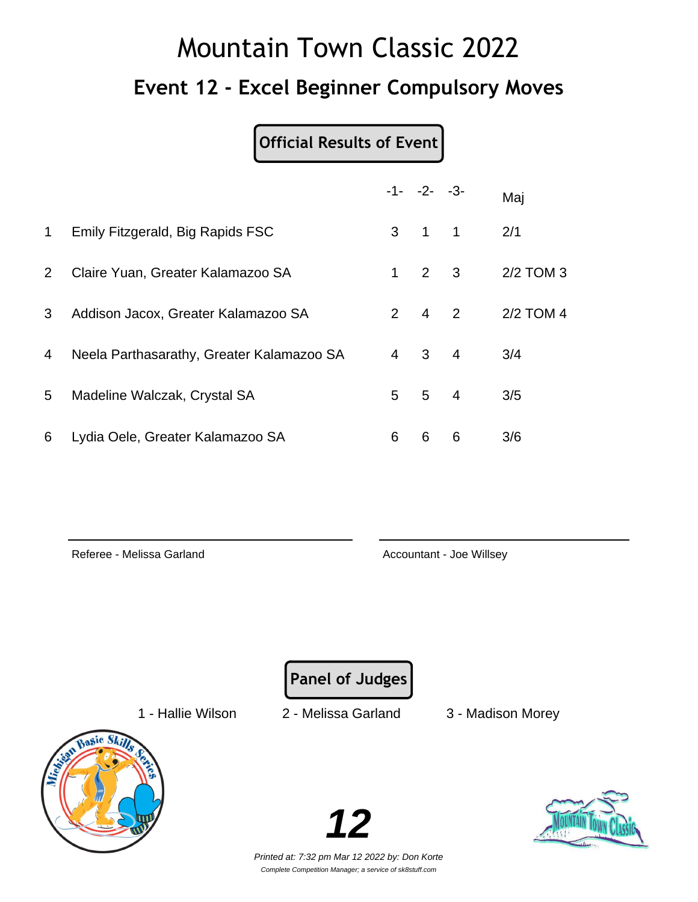# Mountain Town Classic 2022 **Event 12 - Excel Beginner Compulsory Moves**

### **Official Results of Event**

|                |                                           |                | $-1 - -2 - -3$ |                            | Maj       |
|----------------|-------------------------------------------|----------------|----------------|----------------------------|-----------|
| $\mathbf 1$    | Emily Fitzgerald, Big Rapids FSC          | 3              | $\overline{1}$ | $\overline{\phantom{0}}$ 1 | 2/1       |
| 2 <sup>1</sup> | Claire Yuan, Greater Kalamazoo SA         | 1              | $2 \quad 3$    |                            | 2/2 TOM 3 |
| 3              | Addison Jacox, Greater Kalamazoo SA       |                | $2 \quad 4$    | 2                          | 2/2 TOM 4 |
| 4              | Neela Parthasarathy, Greater Kalamazoo SA | $\overline{4}$ | 3              | $\overline{4}$             | 3/4       |
| 5              | Madeline Walczak, Crystal SA              | 5              | 5              | $\overline{4}$             | 3/5       |
| 6              | Lydia Oele, Greater Kalamazoo SA          | 6              | 6              | 6                          | 3/6       |

Referee - Melissa Garland **Accountant - Joe Willsey** Accountant - Joe Willsey

**Panel of Judges**

1 - Hallie Wilson 2 - Melissa Garland 3 - Madison Morey



**12**

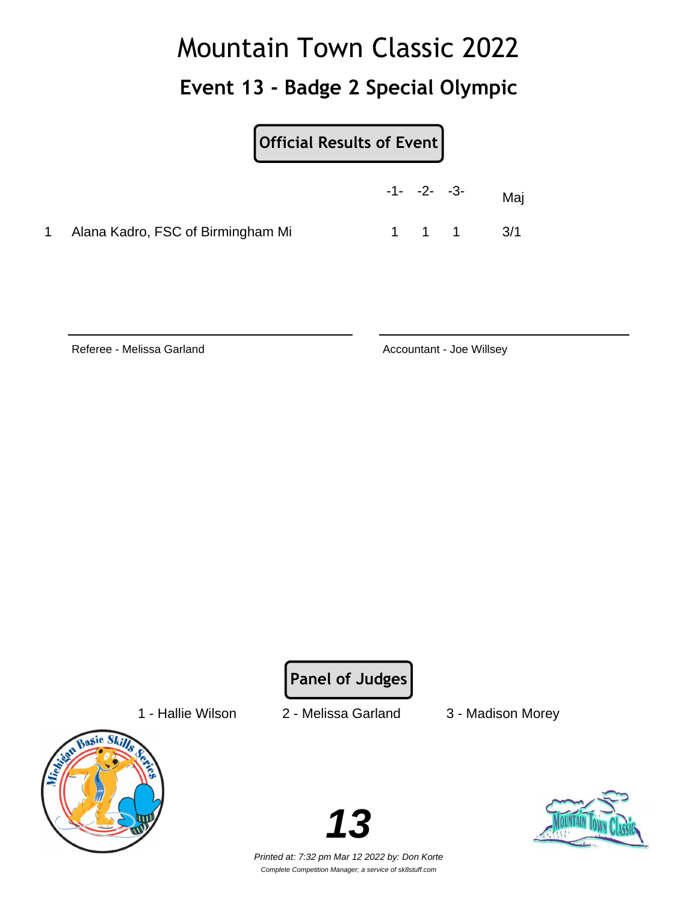## Mountain Town Classic 2022 **Event 13 - Badge 2 Special Olympic**

**Official Results of Event**

|                                     | $-1 - -2 - -3$ |       | Mai |
|-------------------------------------|----------------|-------|-----|
| 1 Alana Kadro, FSC of Birmingham Mi |                | 1 1 1 | 3/1 |

Referee - Melissa Garland **Accountant - Joe Willsey** Accountant - Joe Willsey

**Panel of Judges**

1 - Hallie Wilson 2 - Melissa Garland 3 - Madison Morey



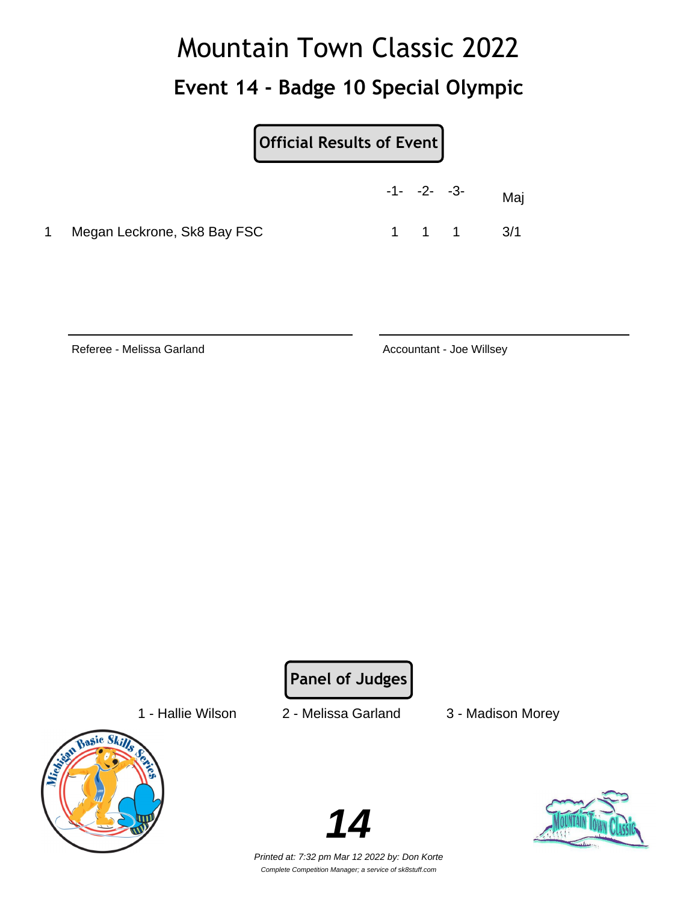## Mountain Town Classic 2022 **Event 14 - Badge 10 Special Olympic**

**Official Results of Event**

|       |                             | $-1 - -2 - -3$ |       | Maj |
|-------|-----------------------------|----------------|-------|-----|
| $1 -$ | Megan Leckrone, Sk8 Bay FSC |                | 1 1 1 | 3/1 |

Referee - Melissa Garland **Accountant - Joe Willsey** Accountant - Joe Willsey

**Panel of Judges**

1 - Hallie Wilson 2 - Melissa Garland 3 - Madison Morey



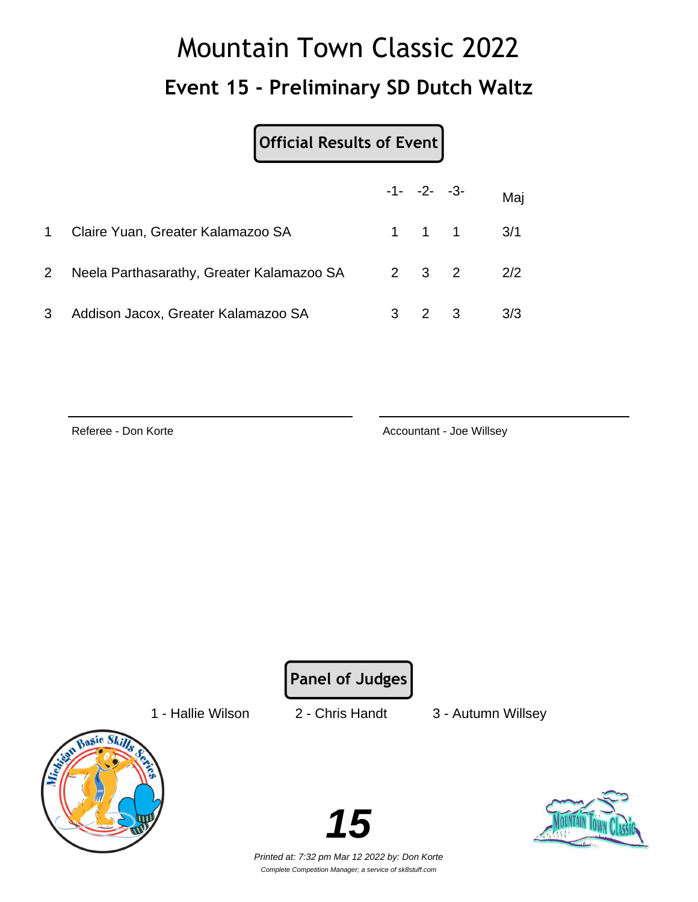# Mountain Town Classic 2022 **Event 15 - Preliminary SD Dutch Waltz**

#### **Official Results of Event**

|              |                                                 | $-1 - -2 - -3$ |                               | Maj |
|--------------|-------------------------------------------------|----------------|-------------------------------|-----|
| 1            | Claire Yuan, Greater Kalamazoo SA               |                | $1 \quad 1 \quad 1 \quad 3/1$ |     |
| $\mathbf{2}$ | Neela Parthasarathy, Greater Kalamazoo SA 2 3 2 |                |                               | 2/2 |
| 3            | Addison Jacox, Greater Kalamazoo SA             | $2 \quad 3$    |                               | 3/3 |

Referee - Don Korte **Accountant - Joe Willsey** Accountant - Joe Willsey

**Panel of Judges**

1 - Hallie Wilson 2 - Chris Handt 3 - Autumn Willsey





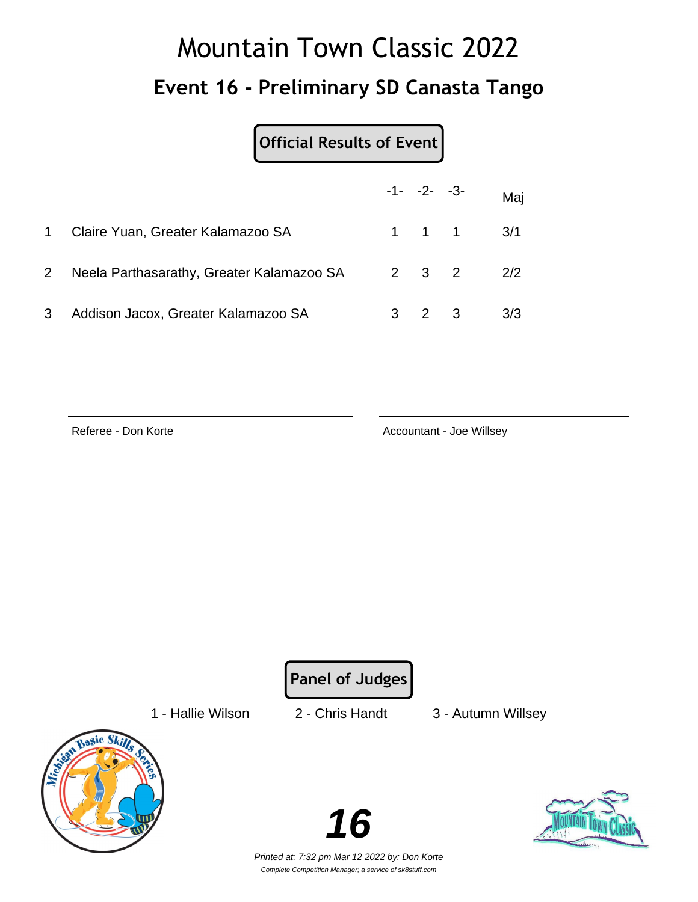# Mountain Town Classic 2022 **Event 16 - Preliminary SD Canasta Tango**

#### **Official Results of Event**

|           |                                                 | $-1 - -2 - -3$ |                               | Maj |
|-----------|-------------------------------------------------|----------------|-------------------------------|-----|
| $1 \quad$ | Claire Yuan, Greater Kalamazoo SA               |                | $1 \quad 1 \quad 1 \quad 3/1$ |     |
| $2 \quad$ | Neela Parthasarathy, Greater Kalamazoo SA 2 3 2 |                |                               | 2/2 |
| 3         | Addison Jacox, Greater Kalamazoo SA             | 2 3            |                               | 3/3 |

Referee - Don Korte **Accountant - Joe Willsey** Accountant - Joe Willsey

**Panel of Judges**

1 - Hallie Wilson 2 - Chris Handt 3 - Autumn Willsey





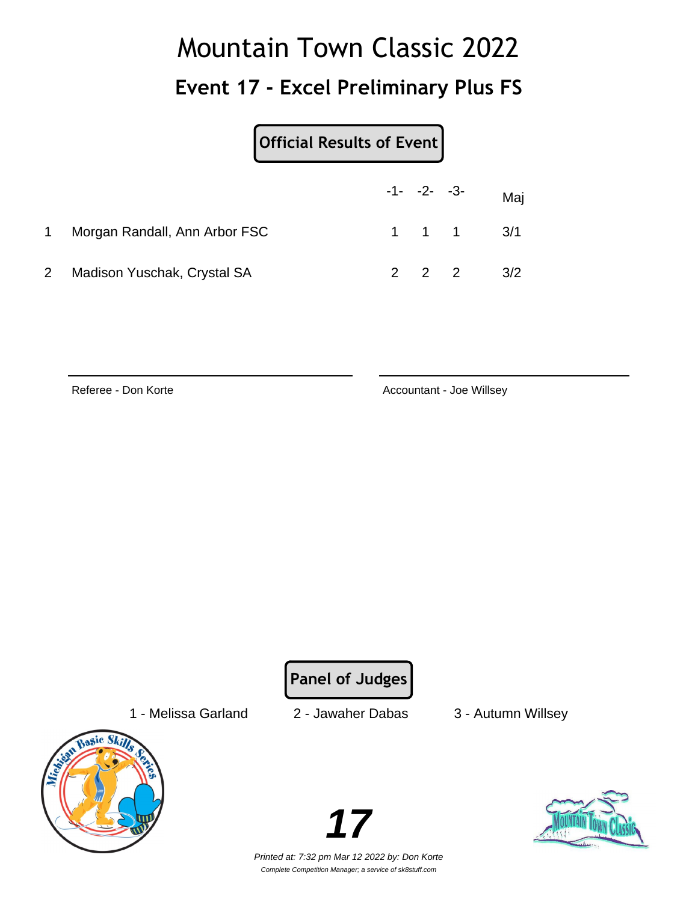### **Event 17 - Excel Preliminary Plus FS**

|   |                               | Official Results of Event |  |  |                               |  |
|---|-------------------------------|---------------------------|--|--|-------------------------------|--|
|   |                               |                           |  |  | $-1$ - $-2$ - $-3$ - Maj      |  |
| 1 | Morgan Randall, Ann Arbor FSC |                           |  |  | $1 \quad 1 \quad 1 \quad 3/1$ |  |
|   | Madison Yuschak, Crystal SA   |                           |  |  | $2 \t2 \t2 \t3/2$             |  |

Referee - Don Korte **Accountant - Joe Willsey** 

**Panel of Judges**

1 - Melissa Garland 2 - Jawaher Dabas 3 - Autumn Willsey



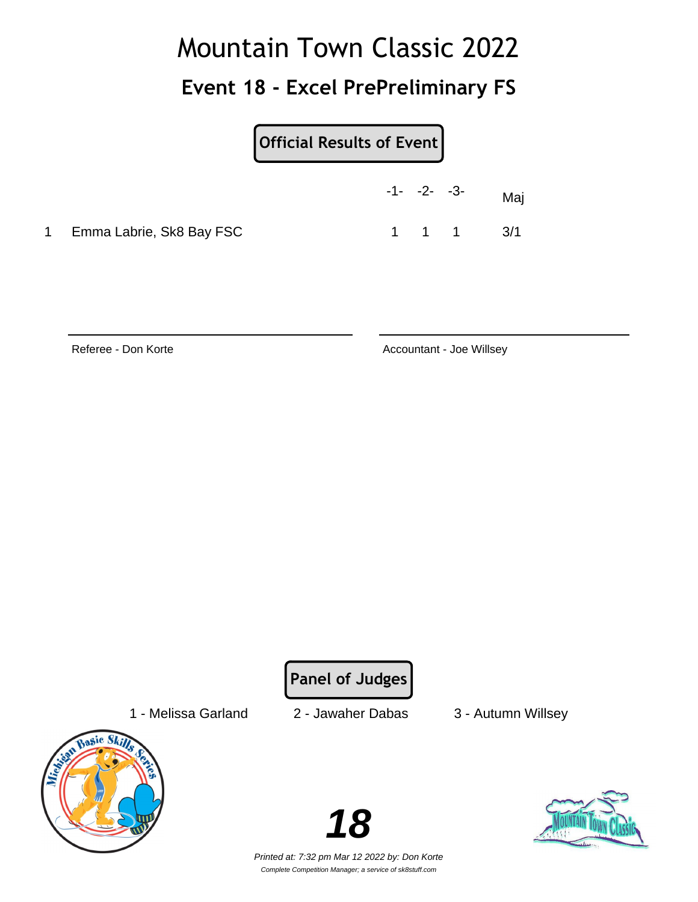### **Event 18 - Excel PrePreliminary FS**

**Official Results of Event**

|                            | $-1 - -2 - -3$ |                     | Maj |
|----------------------------|----------------|---------------------|-----|
| 1 Emma Labrie, Sk8 Bay FSC |                | $1 \quad 1 \quad 1$ | 3/1 |

Referee - Don Korte **Accountant - Joe Willsey** Accountant - Joe Willsey

**Panel of Judges**

1 - Melissa Garland 2 - Jawaher Dabas 3 - Autumn Willsey





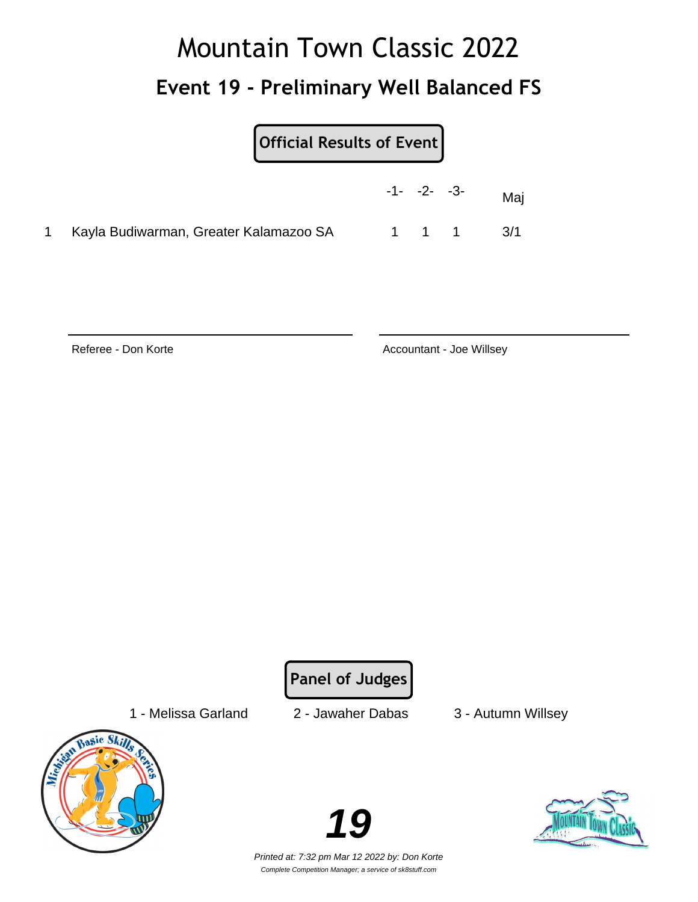# Mountain Town Classic 2022 **Event 19 - Preliminary Well Balanced FS**

|                                          | $-1 - -2 - -3$ |  | Maj       |
|------------------------------------------|----------------|--|-----------|
| 1 Kayla Budiwarman, Greater Kalamazoo SA |                |  | 1 1 1 3/1 |

Referee - Don Korte **Accountant - Joe Willsey** Accountant - Joe Willsey

**Panel of Judges**

1 - Melissa Garland 2 - Jawaher Dabas 3 - Autumn Willsey



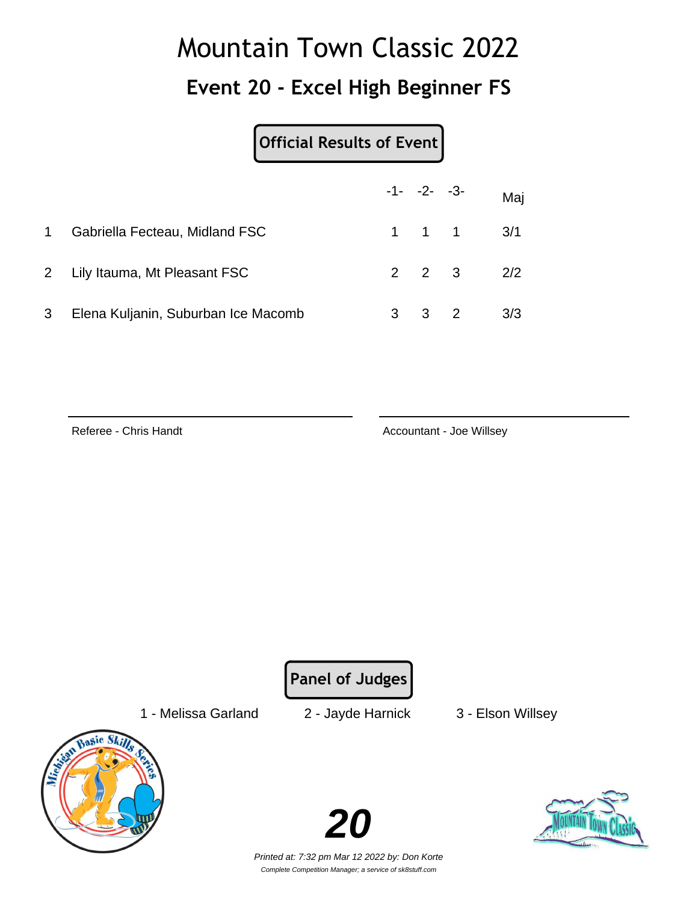### **Event 20 - Excel High Beginner FS**

#### **Official Results of Event**

|              |                                     | $-1 - -2 - -3$ |                               | Maj |
|--------------|-------------------------------------|----------------|-------------------------------|-----|
| $\mathbf{1}$ | Gabriella Fecteau, Midland FSC      |                | $1 \quad 1 \quad 1 \quad 3/1$ |     |
|              | 2 Lily Itauma, Mt Pleasant FSC      |                | $2 \quad 2 \quad 3$           | 2/2 |
| 3            | Elena Kuljanin, Suburban Ice Macomb | 3 2            |                               | 3/3 |

Referee - Chris Handt **Accountant - Joe Willsey** Accountant - Joe Willsey

**Panel of Judges**

1 - Melissa Garland 2 - Jayde Harnick 3 - Elson Willsey



**20**

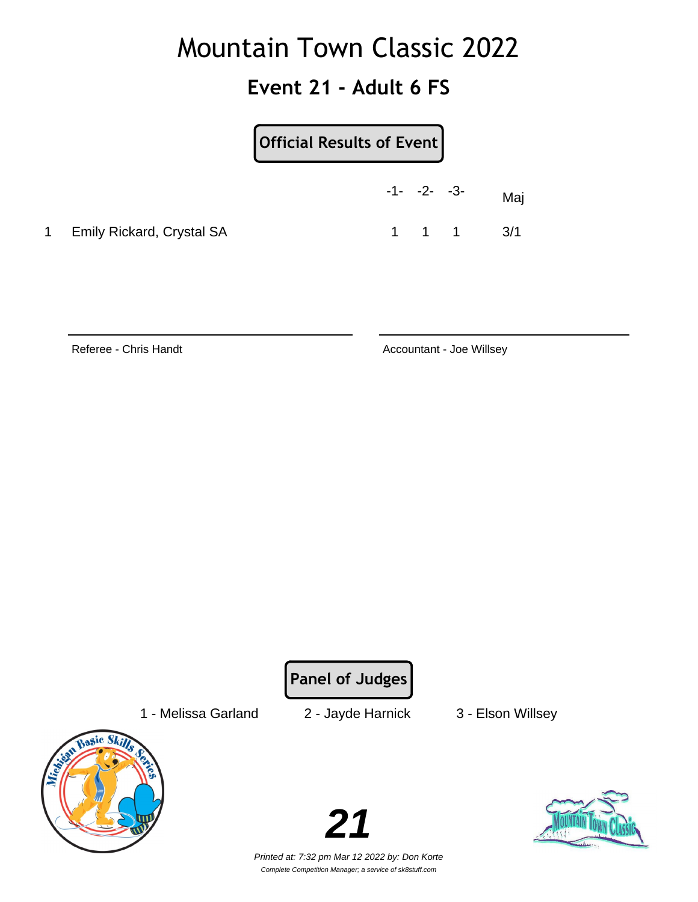### **Event 21 - Adult 6 FS**

|           |                                  | Official Results of Event |                |                               |     |
|-----------|----------------------------------|---------------------------|----------------|-------------------------------|-----|
|           |                                  |                           | $-1 - -2 - -3$ |                               | Mai |
| $1 \quad$ | <b>Emily Rickard, Crystal SA</b> |                           |                | $1 \quad 1 \quad 1 \quad 3/1$ |     |

Referee - Chris Handt **Accountant - Joe Willsey** Accountant - Joe Willsey

**Panel of Judges**

1 - Melissa Garland 2 - Jayde Harnick 3 - Elson Willsey



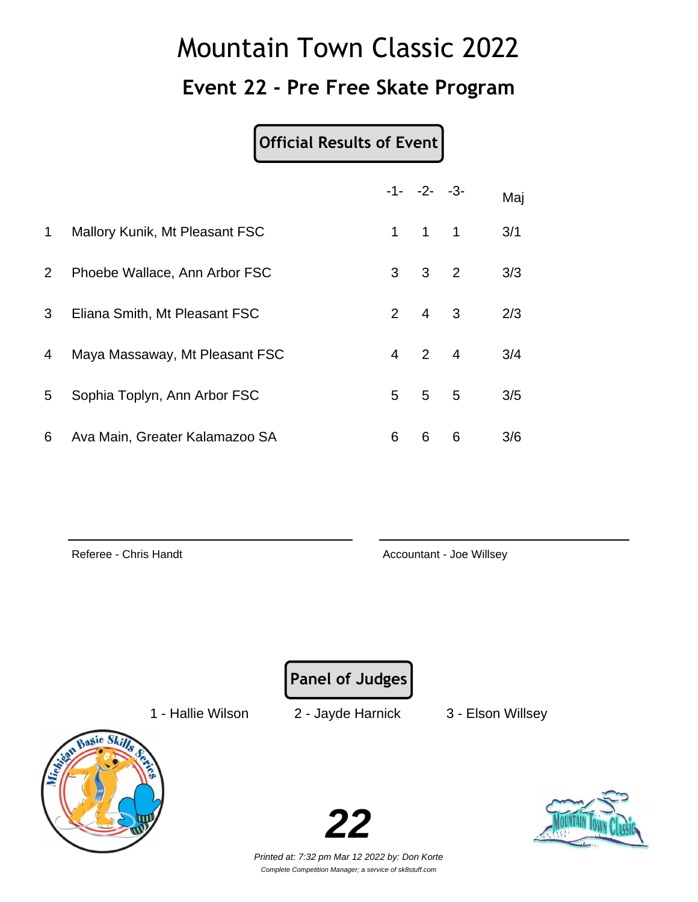### **Event 22 - Pre Free Skate Program**

#### **Official Results of Event**

|                |                                |                | $-1 - -2 - -3$ |                         | Maj |
|----------------|--------------------------------|----------------|----------------|-------------------------|-----|
| $\mathbf 1$    | Mallory Kunik, Mt Pleasant FSC | 1              | $\overline{1}$ | 1                       | 3/1 |
| $\overline{2}$ | Phoebe Wallace, Ann Arbor FSC  | 3 <sup>7</sup> | 3 <sub>2</sub> |                         | 3/3 |
| 3              | Eliana Smith, Mt Pleasant FSC  | $2^{\circ}$    | $\overline{4}$ | $\overline{\mathbf{3}}$ | 2/3 |
| 4              | Maya Massaway, Mt Pleasant FSC | 4              | $2 \quad 4$    |                         | 3/4 |
| 5              | Sophia Toplyn, Ann Arbor FSC   | 5 <sup>1</sup> | 5 <sub>1</sub> | 5                       | 3/5 |
| 6              | Ava Main, Greater Kalamazoo SA | 6              | 6              | 6                       | 3/6 |

Referee - Chris Handt **Accountant - Joe Willsey** Accountant - Joe Willsey

**Panel of Judges**

1 - Hallie Wilson 2 - Jayde Harnick 3 - Elson Willsey



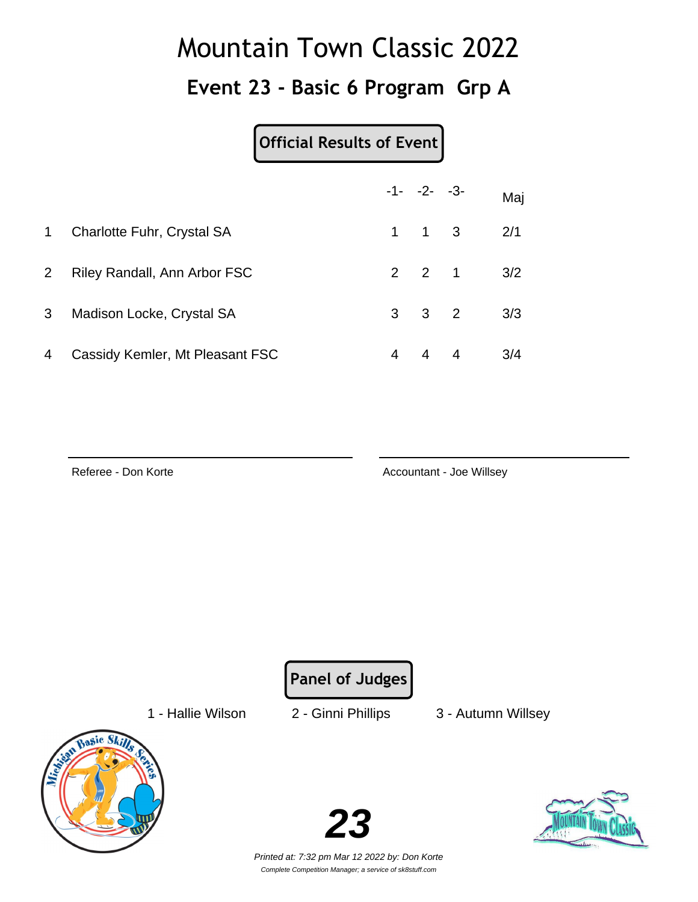### **Event 23 - Basic 6 Program Grp A**

#### **Official Results of Event**

|                |                                 |   | $-1 - -2 - -3$      |                   | Maj |
|----------------|---------------------------------|---|---------------------|-------------------|-----|
| $\mathbf 1$    | Charlotte Fuhr, Crystal SA      |   | $1 \quad 1 \quad 3$ |                   | 2/1 |
| 2 <sup>1</sup> | Riley Randall, Ann Arbor FSC    |   |                     | $2 \t2 \t1 \t3/2$ |     |
| 3              | Madison Locke, Crystal SA       |   | $3 \quad 3 \quad 2$ |                   | 3/3 |
| 4              | Cassidy Kemler, Mt Pleasant FSC | 4 | $4 \quad 4$         |                   | 3/4 |

Referee - Don Korte **Accountant - Joe Willsey** Accountant - Joe Willsey

**Panel of Judges**

1 - Hallie Wilson 2 - Ginni Phillips 3 - Autumn Willsey





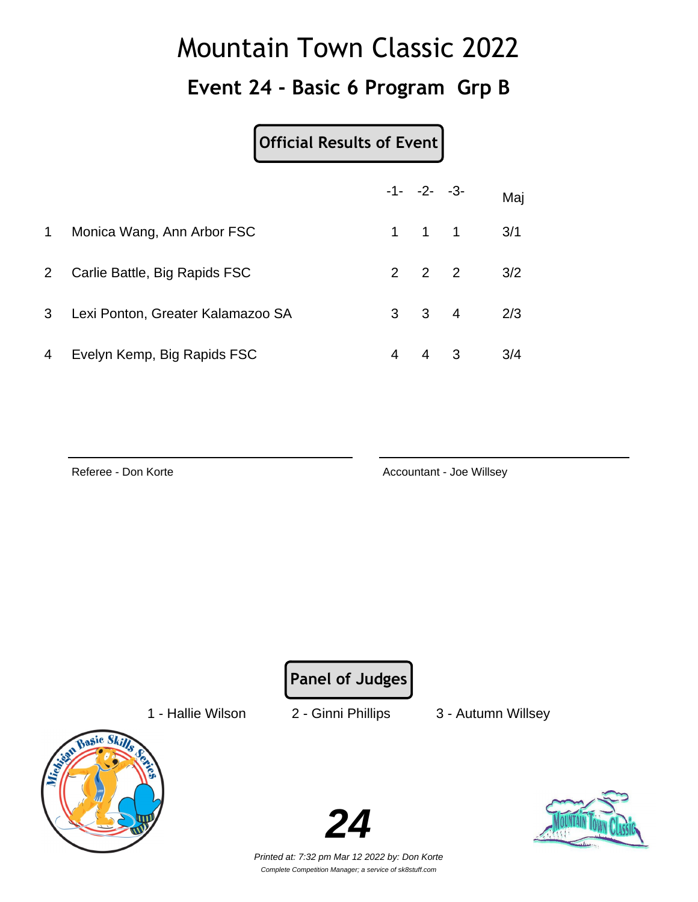### **Event 24 - Basic 6 Program Grp B**

#### **Official Results of Event**

|                |                                   |   | $-1 - -2 - -3$      |                   | Maj |
|----------------|-----------------------------------|---|---------------------|-------------------|-----|
| $\mathbf 1$    | Monica Wang, Ann Arbor FSC        |   | $1 \quad 1 \quad 1$ |                   | 3/1 |
| 2 <sup>1</sup> | Carlie Battle, Big Rapids FSC     |   |                     | $2 \t2 \t2 \t3/2$ |     |
| 3 <sup>1</sup> | Lexi Ponton, Greater Kalamazoo SA |   | $3 \quad 3 \quad 4$ |                   | 2/3 |
| 4              | Evelyn Kemp, Big Rapids FSC       | 4 | $4 \quad 3$         |                   | 3/4 |

Referee - Don Korte **Accountant - Joe Willsey** Accountant - Joe Willsey

**Panel of Judges**

1 - Hallie Wilson 2 - Ginni Phillips 3 - Autumn Willsey





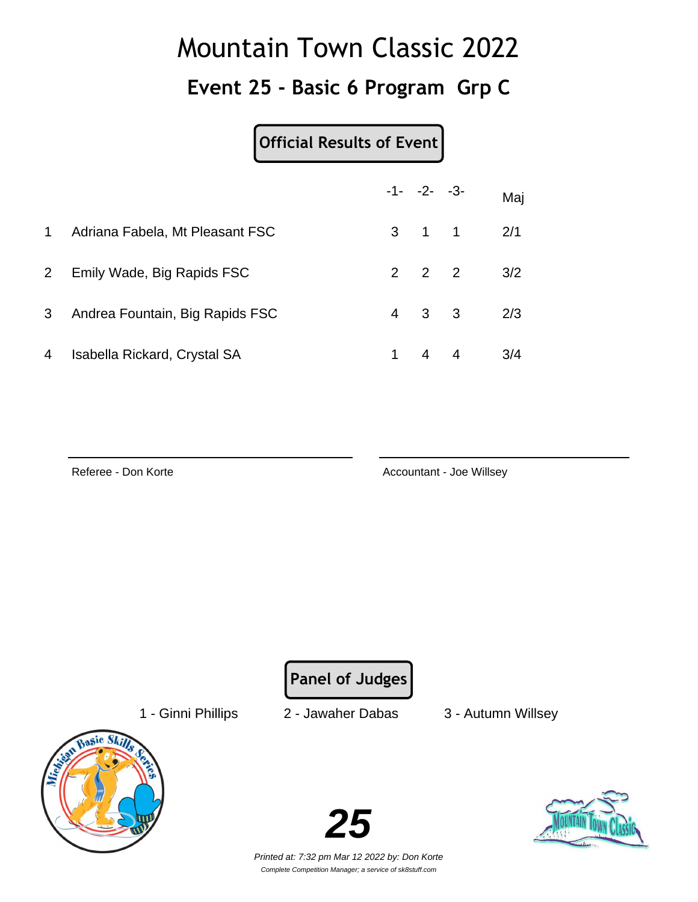### **Event 25 - Basic 6 Program Grp C**

#### **Official Results of Event**

|                |                                 |    | $-1 - -2 - -3$      | Maj |
|----------------|---------------------------------|----|---------------------|-----|
| $\mathbf{1}$   | Adriana Fabela, Mt Pleasant FSC |    | $3 \quad 1 \quad 1$ | 2/1 |
| 2 <sup>1</sup> | Emily Wade, Big Rapids FSC      |    | $2 \quad 2 \quad 2$ | 3/2 |
| 3              | Andrea Fountain, Big Rapids FSC |    | $4 \quad 3 \quad 3$ | 2/3 |
| 4              | Isabella Rickard, Crystal SA    | 1. | $4 \quad 4$         | 3/4 |

Referee - Don Korte **Accountant - Joe Willsey** Accountant - Joe Willsey

**Panel of Judges**

1 - Ginni Phillips 2 - Jawaher Dabas 3 - Autumn Willsey



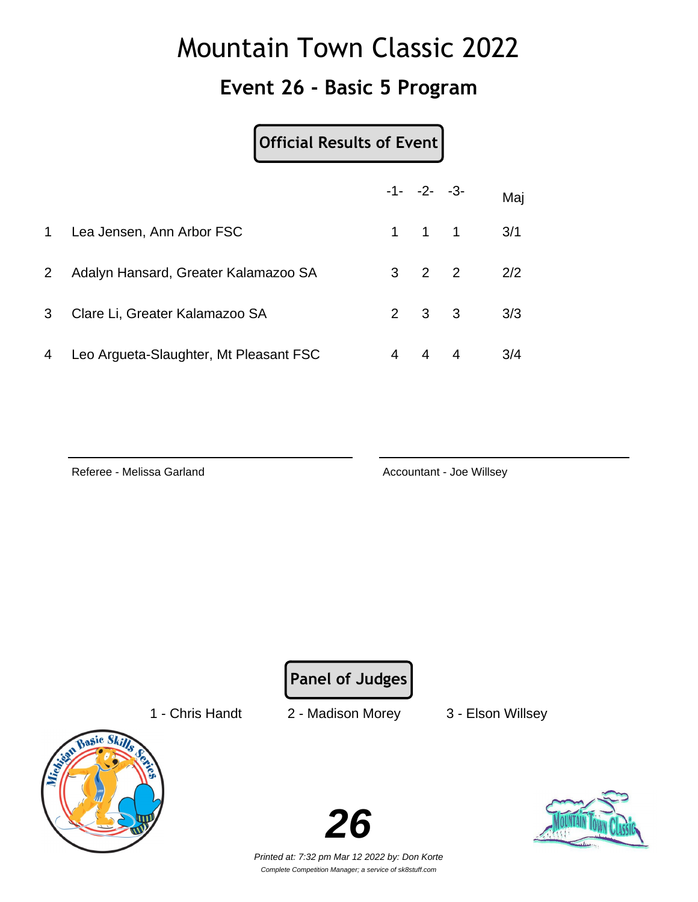### **Event 26 - Basic 5 Program**

#### **Official Results of Event**

|                |                                        |   | $-1 - -2 - -3$      |                | Maj |
|----------------|----------------------------------------|---|---------------------|----------------|-----|
|                | 1 Lea Jensen, Ann Arbor FSC            |   | $1 \quad 1 \quad 1$ |                | 3/1 |
| 2 <sup>1</sup> | Adalyn Hansard, Greater Kalamazoo SA   |   | $3 \quad 2 \quad 2$ |                | 2/2 |
| 3 <sup>1</sup> | Clare Li, Greater Kalamazoo SA         |   | $2 \quad 3 \quad 3$ |                | 3/3 |
| 4              | Leo Argueta-Slaughter, Mt Pleasant FSC | 4 | $\overline{4}$      | $\overline{4}$ | 3/4 |

Referee - Melissa Garland **Accountant - Joe Willsey** Accountant - Joe Willsey

**Panel of Judges**

1 - Chris Handt 2 - Madison Morey 3 - Elson Willsey



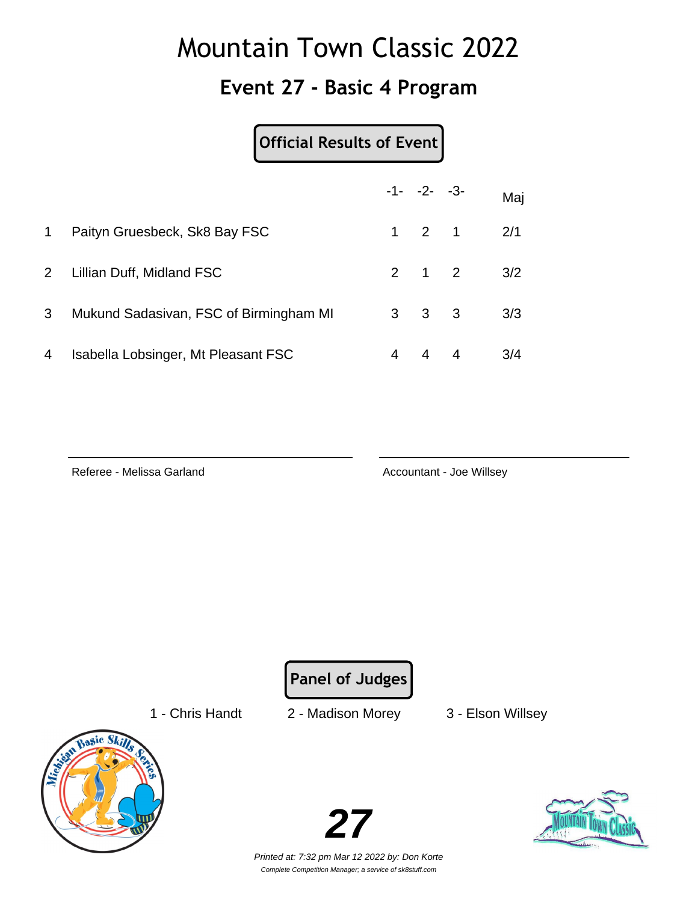### **Event 27 - Basic 4 Program**

|                |                                        | <b>Official Results of Event</b> |   |                     |                |     |
|----------------|----------------------------------------|----------------------------------|---|---------------------|----------------|-----|
|                |                                        |                                  |   | $-1 - -2 - -3$      |                | Maj |
| 1              | Paityn Gruesbeck, Sk8 Bay FSC          |                                  |   | $1 \quad 2 \quad 1$ |                | 2/1 |
| $\overline{2}$ | Lillian Duff, Midland FSC              |                                  |   | $2 \quad 1 \quad 2$ |                | 3/2 |
| 3              | Mukund Sadasivan, FSC of Birmingham MI |                                  |   | $3 \quad 3 \quad 3$ |                | 3/3 |
| 4              | Isabella Lobsinger, Mt Pleasant FSC    |                                  | 4 | $\overline{4}$      | $\overline{4}$ | 3/4 |

Referee - Melissa Garland **Accountant - Joe Willsey** 

**Panel of Judges**

1 - Chris Handt 2 - Madison Morey 3 - Elson Willsey



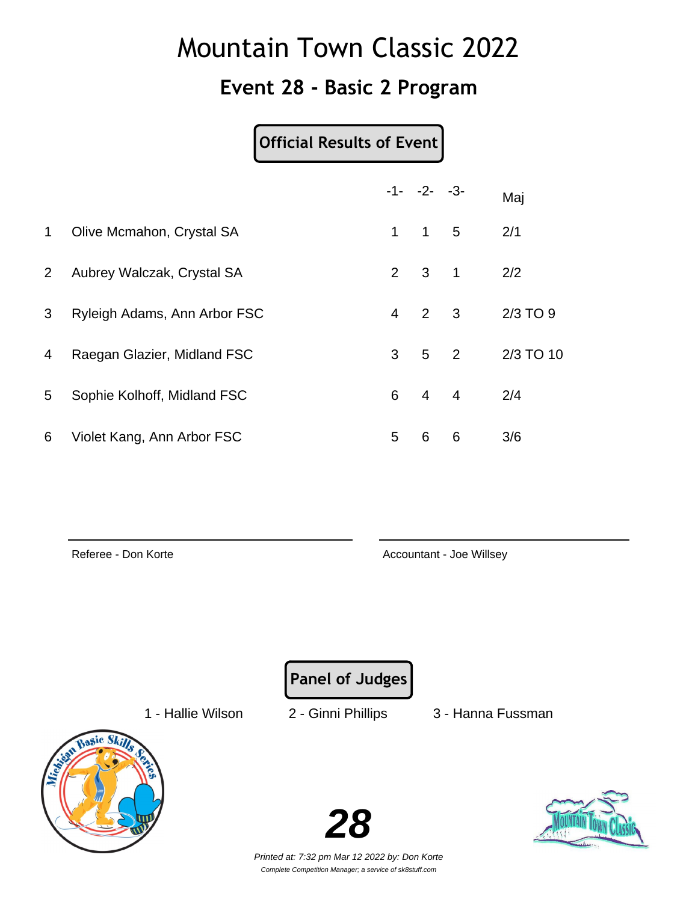#### **Event 28 - Basic 2 Program**

#### **Official Results of Event**

|                |                              |                | $-1 - -2 - -3$      |                | Maj       |
|----------------|------------------------------|----------------|---------------------|----------------|-----------|
| $\mathbf 1$    | Olive Mcmahon, Crystal SA    | 1              | $1\quad 5$          |                | 2/1       |
| $\overline{2}$ | Aubrey Walczak, Crystal SA   |                | $2 \quad 3 \quad 1$ |                | 2/2       |
| 3              | Ryleigh Adams, Ann Arbor FSC | $\overline{4}$ | 2 3                 |                | 2/3 TO 9  |
| 4              | Raegan Glazier, Midland FSC  | 3              |                     | $5\quad 2$     | 2/3 TO 10 |
| 5              | Sophie Kolhoff, Midland FSC  | 6              | $\overline{4}$      | $\overline{4}$ | 2/4       |
| 6              | Violet Kang, Ann Arbor FSC   | 5              | 6                   | 6              | 3/6       |

Referee - Don Korte **Accountant - Joe Willsey** Accountant - Joe Willsey

**Panel of Judges**

1 - Hallie Wilson 2 - Ginni Phillips 3 - Hanna Fussman



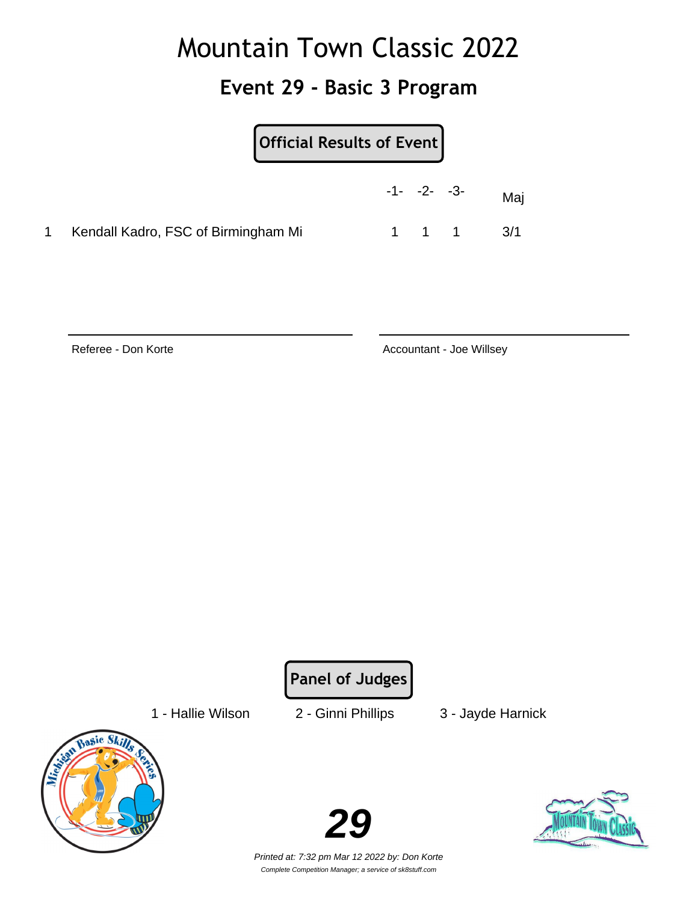### **Event 29 - Basic 3 Program**

| Official Results of Event                                  |     |
|------------------------------------------------------------|-----|
| $-1 - -2 - -3$                                             | Maj |
| Kendall Kadro, FSC of Birmingham Mi<br>$1 \quad 1 \quad 1$ | 3/1 |

Referee - Don Korte **Accountant - Joe Willsey** Accountant - Joe Willsey

**Panel of Judges**

1 - Hallie Wilson 2 - Ginni Phillips 3 - Jayde Harnick



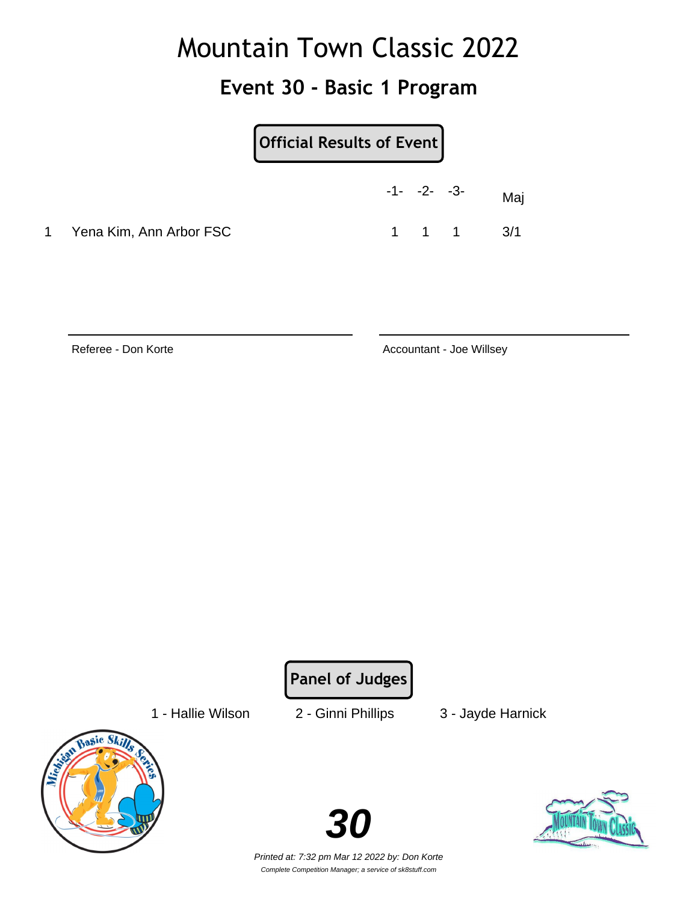### **Event 30 - Basic 1 Program**

|                           | Official Results of Event |                               |     |
|---------------------------|---------------------------|-------------------------------|-----|
|                           | $-1 - -2 - -3$            |                               | Maj |
| 1 Yena Kim, Ann Arbor FSC |                           | $1 \quad 1 \quad 1 \quad 3/1$ |     |

Referee - Don Korte **Accountant - Joe Willsey** Accountant - Joe Willsey

**Panel of Judges**

1 - Hallie Wilson 2 - Ginni Phillips 3 - Jayde Harnick



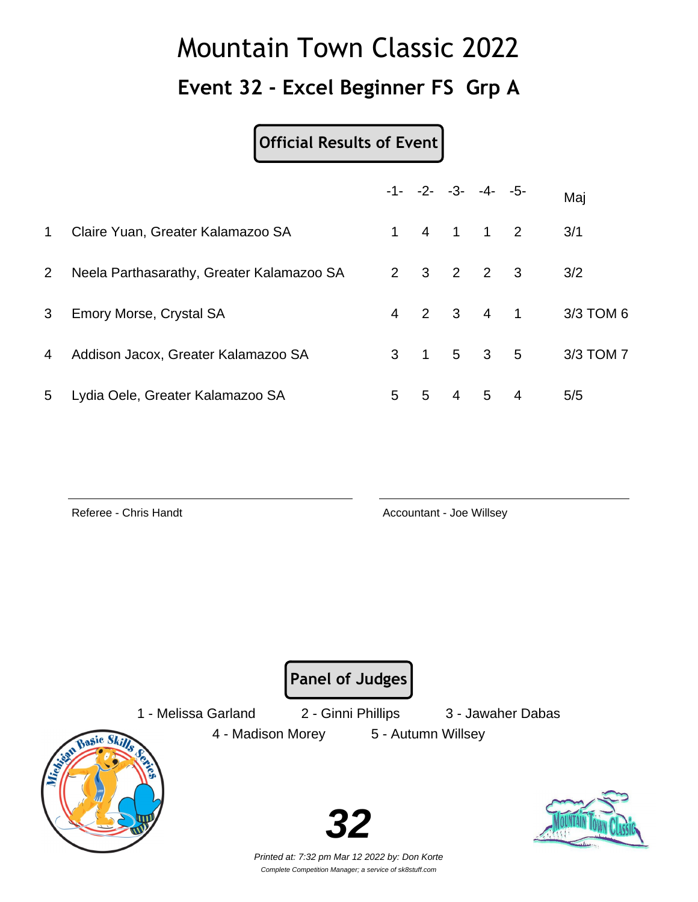### **Event 32 - Excel Beginner FS Grp A**

#### **Official Results of Event**

|             |                                           |   | $-1 - -2 - -3 - -4 - -5$            |                |             |                | Maj       |
|-------------|-------------------------------------------|---|-------------------------------------|----------------|-------------|----------------|-----------|
| $\mathbf 1$ | Claire Yuan, Greater Kalamazoo SA         |   | $1 \quad 4 \quad 1 \quad 1 \quad 2$ |                |             |                | 3/1       |
| $2^{\circ}$ | Neela Parthasarathy, Greater Kalamazoo SA |   | 2 3 2 2 3                           |                |             |                | 3/2       |
| 3           | Emory Morse, Crystal SA                   |   | 4 2 3 4 1                           |                |             |                | 3/3 TOM 6 |
| 4           | Addison Jacox, Greater Kalamazoo SA       |   | $3 \t1 \t5 \t3 \t5$                 |                |             |                | 3/3 TOM 7 |
| 5           | Lydia Oele, Greater Kalamazoo SA          | 5 | $5 -$                               | $\overline{4}$ | $5^{\circ}$ | $\overline{4}$ | 5/5       |

Referee - Chris Handt **Accountant - Joe Willsey** Accountant - Joe Willsey

**Panel of Judges**

1 - Melissa Garland 2 - Ginni Phillips 3 - Jawaher Dabas

4 - Madison Morey 5 - Autumn Willsey

Basic Ski

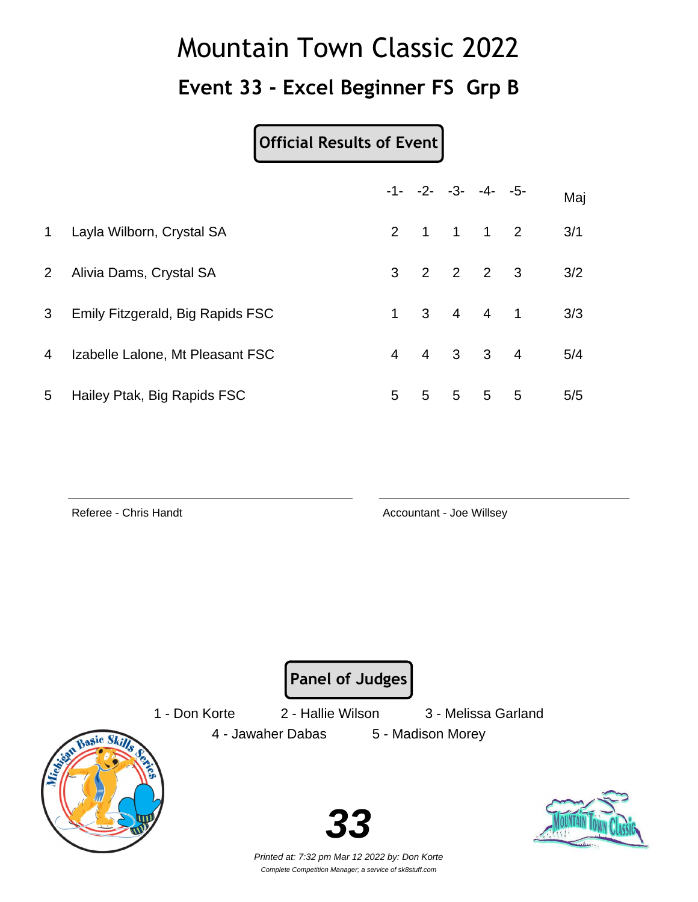### **Event 33 - Excel Beginner FS Grp B**

#### **Official Results of Event**

|                |                                  |                |   | $-1 - -2 - -3 - -4 - -5$            | Maj |
|----------------|----------------------------------|----------------|---|-------------------------------------|-----|
| 1              | Layla Wilborn, Crystal SA        |                |   | 2 1 1 1 2                           | 3/1 |
| $\mathbf{2}$   | Alivia Dams, Crystal SA          |                |   | $3 \t2 \t2 \t2 \t3$                 | 3/2 |
| 3 <sup>1</sup> | Emily Fitzgerald, Big Rapids FSC |                |   | $1 \quad 3 \quad 4 \quad 4 \quad 1$ | 3/3 |
| 4              | Izabelle Lalone, Mt Pleasant FSC | $\overline{4}$ |   | 4 3 3 4                             | 5/4 |
| 5              | Hailey Ptak, Big Rapids FSC      | 5              | 5 | $5\quad 5\quad 5$                   | 5/5 |

Referee - Chris Handt **Accountant - Joe Willsey** Accountant - Joe Willsey

**Panel of Judges**

1 - Don Korte 2 - Hallie Wilson 3 - Melissa Garland

4 - Jawaher Dabas 5 - Madison Morey